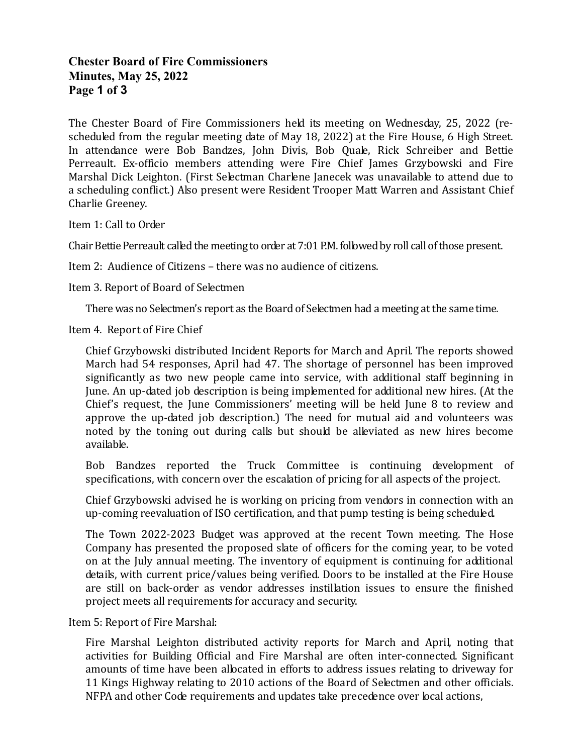# Chester Board of Fire Commissioners Minutes, May 25, 2022 Page 1 of 3

The Chester Board of Fire Commissioners held its meeting on Wednesday, 25, 2022 (rescheduled from the regular meeting date of May 18, 2022) at the Fire House, 6 High Street. In attendance were Bob Bandzes, John Divis, Bob Quale, Rick Schreiber and Bettie Perreault. Ex-officio members attending were Fire Chief James Grzybowski and Fire Marshal Dick Leighton. (First Selectman Charlene Janecek was unavailable to attend due to a scheduling conflict.) Also present were Resident Trooper Matt Warren and Assistant Chief Charlie Greeney.

Item 1: Call to Order

Chair Bettie Perreault called the meeting to order at 7:01 P.M. followed by roll call of those present.

Item 2: Audience of Citizens – there was no audience of citizens.

Item 3. Report of Board of Selectmen

There was no Selectmen's report as the Board of Selectmen had a meeting at the same time.

Item 4. Report of Fire Chief

 Chief Grzybowski distributed Incident Reports for March and April. The reports showed March had 54 responses, April had 47. The shortage of personnel has been improved significantly as two new people came into service, with additional staff beginning in June. An up-dated job description is being implemented for additional new hires. (At the Chief's request, the June Commissioners' meeting will be held June 8 to review and approve the up-dated job description.) The need for mutual aid and volunteers was noted by the toning out during calls but should be alleviated as new hires become available.

 Bob Bandzes reported the Truck Committee is continuing development of specifications, with concern over the escalation of pricing for all aspects of the project.

 Chief Grzybowski advised he is working on pricing from vendors in connection with an up-coming reevaluation of ISO certification, and that pump testing is being scheduled.

 The Town 2022-2023 Budget was approved at the recent Town meeting. The Hose Company has presented the proposed slate of officers for the coming year, to be voted on at the July annual meeting. The inventory of equipment is continuing for additional details, with current price/values being verified. Doors to be installed at the Fire House are still on back-order as vendor addresses instillation issues to ensure the finished project meets all requirements for accuracy and security.

Item 5: Report of Fire Marshal:

 Fire Marshal Leighton distributed activity reports for March and April, noting that activities for Building Official and Fire Marshal are often inter-connected. Significant amounts of time have been allocated in efforts to address issues relating to driveway for 11 Kings Highway relating to 2010 actions of the Board of Selectmen and other officials. NFPA and other Code requirements and updates take precedence over local actions,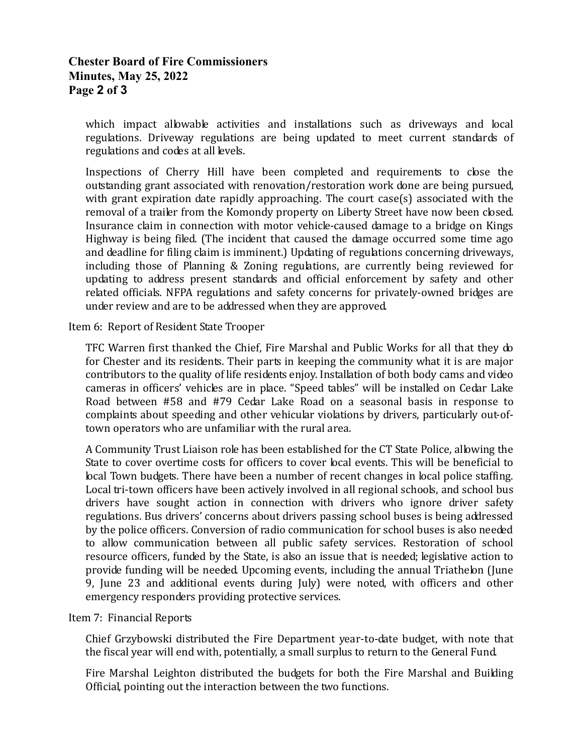## Chester Board of Fire Commissioners Minutes, May 25, 2022 Page 2 of 3

which impact allowable activities and installations such as driveways and local regulations. Driveway regulations are being updated to meet current standards of regulations and codes at all levels.

 Inspections of Cherry Hill have been completed and requirements to close the outstanding grant associated with renovation/restoration work done are being pursued, with grant expiration date rapidly approaching. The court case(s) associated with the removal of a trailer from the Komondy property on Liberty Street have now been closed. Insurance claim in connection with motor vehicle-caused damage to a bridge on Kings Highway is being filed. (The incident that caused the damage occurred some time ago and deadline for filing claim is imminent.) Updating of regulations concerning driveways, including those of Planning & Zoning regulations, are currently being reviewed for updating to address present standards and official enforcement by safety and other related officials. NFPA regulations and safety concerns for privately-owned bridges are under review and are to be addressed when they are approved.

### Item 6: Report of Resident State Trooper

 TFC Warren first thanked the Chief, Fire Marshal and Public Works for all that they do for Chester and its residents. Their parts in keeping the community what it is are major contributors to the quality of life residents enjoy. Installation of both body cams and video cameras in officers' vehicles are in place. "Speed tables" will be installed on Cedar Lake Road between #58 and #79 Cedar Lake Road on a seasonal basis in response to complaints about speeding and other vehicular violations by drivers, particularly out-oftown operators who are unfamiliar with the rural area.

 A Community Trust Liaison role has been established for the CT State Police, allowing the State to cover overtime costs for officers to cover local events. This will be beneficial to local Town budgets. There have been a number of recent changes in local police staffing. Local tri-town officers have been actively involved in all regional schools, and school bus drivers have sought action in connection with drivers who ignore driver safety regulations. Bus drivers' concerns about drivers passing school buses is being addressed by the police officers. Conversion of radio communication for school buses is also needed to allow communication between all public safety services. Restoration of school resource officers, funded by the State, is also an issue that is needed; legislative action to provide funding will be needed. Upcoming events, including the annual Triathelon (June 9, June 23 and additional events during July) were noted, with officers and other emergency responders providing protective services.

#### Item 7: Financial Reports

 Chief Grzybowski distributed the Fire Department year-to-date budget, with note that the fiscal year will end with, potentially, a small surplus to return to the General Fund.

 Fire Marshal Leighton distributed the budgets for both the Fire Marshal and Building Official, pointing out the interaction between the two functions.